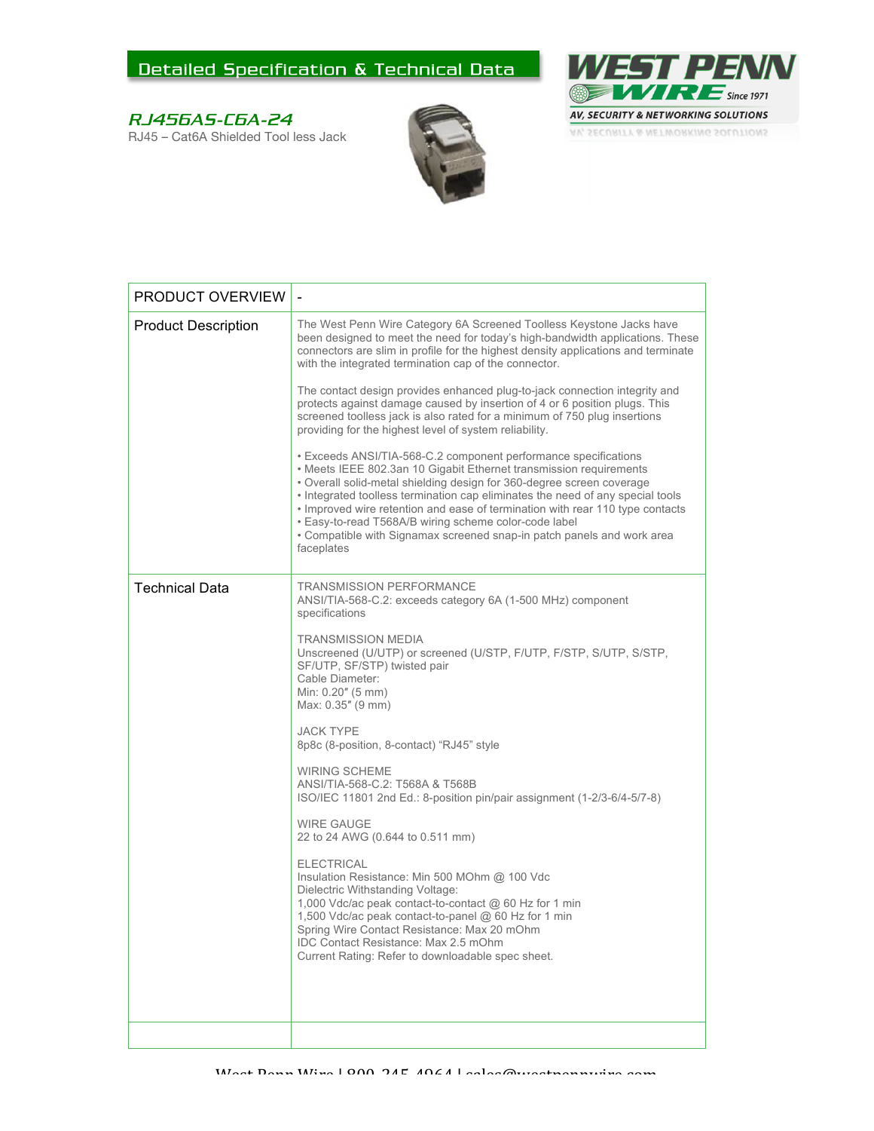## Detailed Specification & Technical Data

## RJ456AS-C6A-24

RJ45 – Cat6A Shielded Tool less Jack





| PRODUCT OVERVIEW           |                                                                                                                                                                                                                                                                                                                                                                                                                                                                                                                                    |
|----------------------------|------------------------------------------------------------------------------------------------------------------------------------------------------------------------------------------------------------------------------------------------------------------------------------------------------------------------------------------------------------------------------------------------------------------------------------------------------------------------------------------------------------------------------------|
| <b>Product Description</b> | The West Penn Wire Category 6A Screened Toolless Keystone Jacks have<br>been designed to meet the need for today's high-bandwidth applications. These<br>connectors are slim in profile for the highest density applications and terminate<br>with the integrated termination cap of the connector.<br>The contact design provides enhanced plug-to-jack connection integrity and                                                                                                                                                  |
|                            | protects against damage caused by insertion of 4 or 6 position plugs. This<br>screened toolless jack is also rated for a minimum of 750 plug insertions<br>providing for the highest level of system reliability.                                                                                                                                                                                                                                                                                                                  |
|                            | • Exceeds ANSI/TIA-568-C.2 component performance specifications<br>• Meets IEEE 802.3an 10 Gigabit Ethernet transmission requirements<br>. Overall solid-metal shielding design for 360-degree screen coverage<br>• Integrated toolless termination cap eliminates the need of any special tools<br>• Improved wire retention and ease of termination with rear 110 type contacts<br>. Easy-to-read T568A/B wiring scheme color-code label<br>• Compatible with Signamax screened snap-in patch panels and work area<br>faceplates |
| <b>Technical Data</b>      | <b>TRANSMISSION PERFORMANCE</b><br>ANSI/TIA-568-C.2: exceeds category 6A (1-500 MHz) component<br>specifications                                                                                                                                                                                                                                                                                                                                                                                                                   |
|                            | <b>TRANSMISSION MEDIA</b><br>Unscreened (U/UTP) or screened (U/STP, F/UTP, F/STP, S/UTP, S/STP,<br>SF/UTP, SF/STP) twisted pair<br>Cable Diameter:<br>Min: 0.20" (5 mm)<br>Max: 0.35" (9 mm)                                                                                                                                                                                                                                                                                                                                       |
|                            | <b>JACK TYPE</b><br>8p8c (8-position, 8-contact) "RJ45" style                                                                                                                                                                                                                                                                                                                                                                                                                                                                      |
|                            | <b>WIRING SCHEME</b><br>ANSI/TIA-568-C.2: T568A & T568B<br>ISO/IEC 11801 2nd Ed.: 8-position pin/pair assignment (1-2/3-6/4-5/7-8)                                                                                                                                                                                                                                                                                                                                                                                                 |
|                            | <b>WIRE GAUGE</b><br>22 to 24 AWG (0.644 to 0.511 mm)                                                                                                                                                                                                                                                                                                                                                                                                                                                                              |
|                            | <b>ELECTRICAL</b><br>Insulation Resistance: Min 500 MOhm @ 100 Vdc<br>Dielectric Withstanding Voltage:<br>1,000 Vdc/ac peak contact-to-contact @ 60 Hz for 1 min<br>1,500 Vdc/ac peak contact-to-panel @ 60 Hz for 1 min<br>Spring Wire Contact Resistance: Max 20 mOhm<br>IDC Contact Resistance: Max 2.5 mOhm<br>Current Rating: Refer to downloadable spec sheet.                                                                                                                                                               |
|                            |                                                                                                                                                                                                                                                                                                                                                                                                                                                                                                                                    |